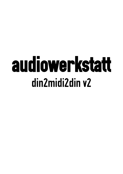# audiowerkstatt din2midi2din v2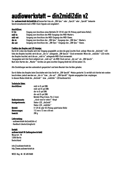## audiowerkstatt – din2midi2din v2

Der audiowerkstatt din2midi2din v2 konvertiert das als "DIN-Sync" oder "Sync24" oder "Sync48" bekannte Synchronisationsformat in MIDI-Clock-Signale und umgekehrt.

| Anschlüsse: |                                                                                       |  |
|-------------|---------------------------------------------------------------------------------------|--|
| $9 - 12x$   | Eingang zum Anschluss eines Netzteils [9-12V AC oder DC (Polung spielt keine Rolle)]. |  |
| midi-in:    | Eingang zum Anschluss des MIDI-Ausgangs des MIDI-Masters.                             |  |
| midi-out:   | Ausgang zum Anschluss des MIDI-Eingangs des MIDI-Slaves.                              |  |
| din-in:     | Eingang zum Anschluss des "DIN-Sync"-Ausgangs des "DIN-Sync"-Masters.                 |  |
| din-out:    | Ausgang zum Anschluss des "DIN-Sync"-Eingangs des "DIN-Sync"-Slaves.                  |  |

### Funktion des Knopfes und LED-Anzeige:

Durch Drücken des Knopfes wird der Eingang ausgewählt, an dem die gew ünschte Clock anliegt. Wenn die "din2midi"-LED links des Knopfes leuchtet, wird die am "din-in" anliegende "DIN-Sync24"-Clock verwendet. Wenn die "midi2din"-LED rechts des Knopfes leuchtet, wird die am "midi-in" anliegende MIDI-Clock verwendet.

Ausgegeben wird die Clock zeitgleich am "midi-out" als MIDI-Clock und am "din-out" als "DIN-Sync24". Nach dem Starten des "Master"-Gerätes am gew Ünschten Eingang blinkt die LED bei jedem 1/4.

Alle Einstellungen werden automatisch gespeichert und beim Neustart des Gerätes geladen.

Durch Halten des Knopfes beim Einschalten wird das Gerät im "DIN-Sync48"-Modus gestartet. Es verhält sich hierbei wie soeben beschrieben, jedoch werden am "din-in" bzw. "din-out" "DIN-Sync48"-Signale ausgegeben bzw. empfangen. In diesem Modus blinkt die "din2midi" - bzw. "midi2din" -LED kontinuierlich.

### Technische Daten:

| Anschlüsse:            | midi-in (5-pol DIN)                          |
|------------------------|----------------------------------------------|
|                        | midi-out (5-pol DIN)                         |
|                        | din-in (5-pol DIN)                           |
|                        | din-out (5-pol DIN)                          |
|                        | Netzteil (Plug 5,5mm, Pin 2,1mm)             |
| <b>Bedienelemente:</b> | "clock-source-select"-Knopf                  |
| Anzeigeelemente:       | Status-LED "din2midi"                        |
|                        | Status-LED "midi2din"                        |
| <b>Netzteil:</b>       | 9-12V AC oder DC (Polung spielt keine Rolle) |
| Abmessungen:           | 112 mm x 72 mm x 48 mm                       |
| <b>Gewicht:</b>        | 280q                                         |

### Lieferumfang:

- audiowerkstatt din2midi2din v2 - Handbuch (deutsch/englisch)

### Kontakt:

audiowerkstatt UG (haftungsbeschränkt) Weserstr. 78 12059 Berlin **Deutschland** 

 $\mathsf{info}\mathcal{O}$ audiowerkstatt.de [http://www.audiowerkstatt.de](http://www.audiowerkstatt.de/)

WEEE-Reg.-Nr. DE 49518480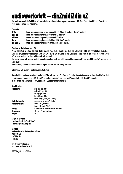## audiowerkstatt – din2midi2din v2

The audiowerkstatt din2midi2din v2 converts the synchronisation-signale known as "DIN-Sync" or "Sync24" or "Sync48" to MIDI-clock-signals and vice versa.

### Connectors:

| $9 - 12x$  | Input for connecting a power supply (9-12V AC or DC (polarity doesn't matter)). |
|------------|---------------------------------------------------------------------------------|
| midi-in:   | Input for connecting the output of the MIDI-master.                             |
| midi-out:  | Output for connecting the input of the MIDI-slave.                              |
| din-in:    | Input for connecting the output of the "DIN-Sync"-master.                       |
| din-out: 0 | utput for connecting the input of the "DIN-Sync"-slave.                         |

### Function of the buttons and LEDs:

Press the button to select the input that is used to receive the master-clock. If the "din2midi "-LED left of the button is on, the ", din-in" is used and the received "DIN-Sync24"-clock will be used. If the "midi2din"-LED right of the button is on, the "midiin" is used and the received MIDI-clock will be used.

The clock-signal will be sent on both outputs simultaneously: As MIDI-clock at the "midi-out" and as "DIN-Sync24"-signals at the " din-out".

After starting the master at the selected input, the LED flashes every  $\frac{1}{4}$ -note.

All settings will be saved and restored at startup.

If you hold the button at startup, the din2midi2din will start in "DIN-Sync48"-mode. It works the same as described before, but receiving and transmitting ..DIN-Sync48"-signals at ..din-in " and ..din-out " instead of ..DIN-Sync24"-signals. In this mode the "din2midi" - or "midi2din" -LED flashes continuously.

### Specifications:

| <b>Connectors:</b>       | midi-in (5-pol DIN)                       |
|--------------------------|-------------------------------------------|
|                          | midi-out (5-pol DIN)                      |
|                          | din-in (5-pol DIN)                        |
|                          | din-out (5-pol DIN)                       |
|                          | Power (Plug 5,5mm, Pin 2,1mm)             |
| Control elements:        | "clock-source-select"-button              |
| <b>Display elements:</b> | Status-LED "din2midi"                     |
|                          | Status-LED "midi2din"                     |
| Power:                   | 9-12V AC or DC (Polarity doesn 't matter) |
| <b>Dimensions:</b>       | 112 mm x 72 mm x 48 mm                    |
| <b>Weight:</b>           | 280 g                                     |
|                          |                                           |

### Scope of delivery:

- audiowerkstatt din2midi2din v2 - manual (german/english)

### Contact:

audiowerkstatt UG (haftungsbeschränkt) Weserstr. 78 12059 Berlin **Germany** 

info $@$ audiowerkstatt.de http://www.audiowerkstatt.de

WEEE-Reg.-Nr. DE 49518480